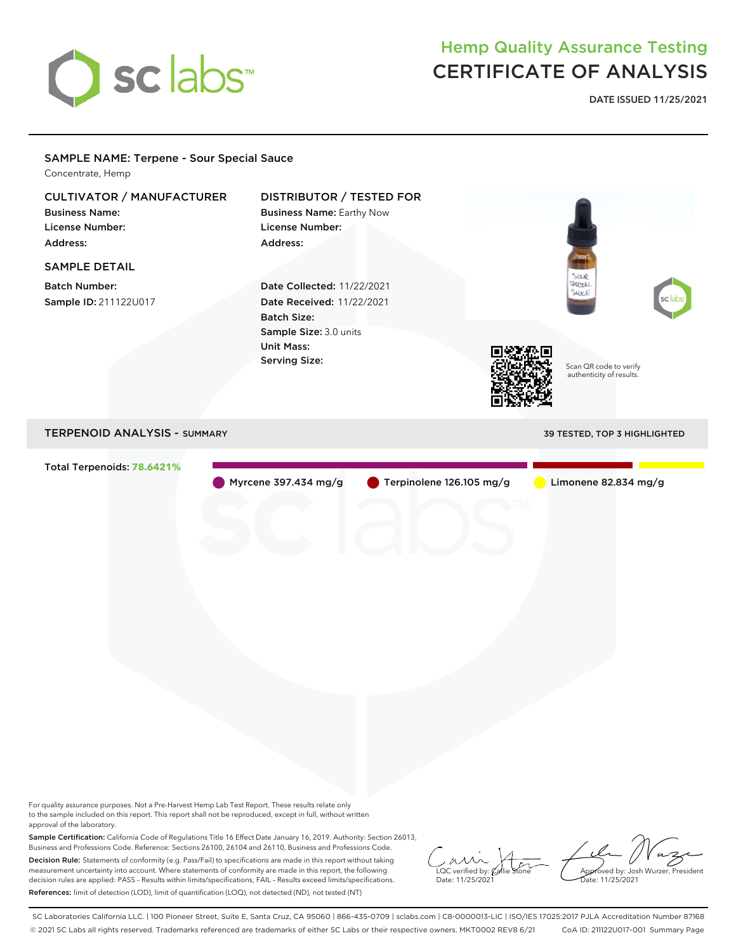

## Hemp Quality Assurance Testing CERTIFICATE OF ANALYSIS

**DATE ISSUED 11/25/2021**

## Scan QR code to verify authenticity of results. SAMPLE NAME: Terpene - Sour Special Sauce Concentrate, Hemp CULTIVATOR / MANUFACTURER Business Name: License Number: Address: DISTRIBUTOR / TESTED FOR Business Name: Earthy Now License Number: Address: SAMPLE DETAIL Batch Number: Sample ID: 211122U017 Date Collected: 11/22/2021 Date Received: 11/22/2021 Batch Size: Sample Size: 3.0 units Unit Mass: Serving Size: TERPENOID ANALYSIS - SUMMARY 39 TESTED, TOP 3 HIGHLIGHTED Total Terpenoids: **78.6421%** Myrcene 397.434 mg/g Terpinolene 126.105 mg/g Limonene 82.834 mg/g

For quality assurance purposes. Not a Pre-Harvest Hemp Lab Test Report. These results relate only to the sample included on this report. This report shall not be reproduced, except in full, without written approval of the laboratory.

Sample Certification: California Code of Regulations Title 16 Effect Date January 16, 2019. Authority: Section 26013, Business and Professions Code. Reference: Sections 26100, 26104 and 26110, Business and Professions Code. Decision Rule: Statements of conformity (e.g. Pass/Fail) to specifications are made in this report without taking measurement uncertainty into account. Where statements of conformity are made in this report, the following decision rules are applied: PASS – Results within limits/specifications, FAIL – Results exceed limits/specifications. References: limit of detection (LOD), limit of quantification (LOQ), not detected (ND), not tested (NT)

 $\overline{\text{LOC}}$  verified by:  $\mathcal C$ Date: 11/25/2021

Approved by: Josh Wurzer, President ate: 11/25/2021

SC Laboratories California LLC. | 100 Pioneer Street, Suite E, Santa Cruz, CA 95060 | 866-435-0709 | sclabs.com | C8-0000013-LIC | ISO/IES 17025:2017 PJLA Accreditation Number 87168 © 2021 SC Labs all rights reserved. Trademarks referenced are trademarks of either SC Labs or their respective owners. MKT0002 REV8 6/21 CoA ID: 211122U017-001 Summary Page